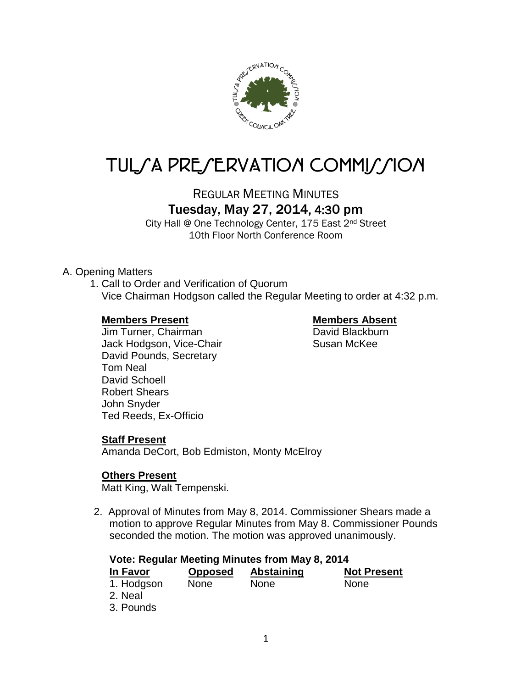

# TUL/A PRE/ERVATION COMMI*J*/ION

REGULAR MEETING MINUTES

# Tuesday, May 27, 2014, 4:30 pm

City Hall @ One Technology Center, 175 East 2nd Street 10th Floor North Conference Room

## A. Opening Matters

1. Call to Order and Verification of Quorum Vice Chairman Hodgson called the Regular Meeting to order at 4:32 p.m.

### **Members Present Members Absent**

Jim Turner, Chairman **David Blackburn** Jack Hodgson, Vice-Chair Susan McKee David Pounds, Secretary Tom Neal David Schoell Robert Shears John Snyder Ted Reeds, Ex-Officio

# **Staff Present**

Amanda DeCort, Bob Edmiston, Monty McElroy

# **Others Present**

Matt King, Walt Tempenski.

2. Approval of Minutes from May 8, 2014. Commissioner Shears made a motion to approve Regular Minutes from May 8. Commissioner Pounds seconded the motion. The motion was approved unanimously.

# **Vote: Regular Meeting Minutes from May 8, 2014**

| In Favor   | <b>Opposed</b> | <b>Abstaining</b> | <b>Not Present</b> |
|------------|----------------|-------------------|--------------------|
| 1. Hodgson | <b>None</b>    | <b>None</b>       | <b>None</b>        |
| 2. Neal    |                |                   |                    |
| 3. Pounds  |                |                   |                    |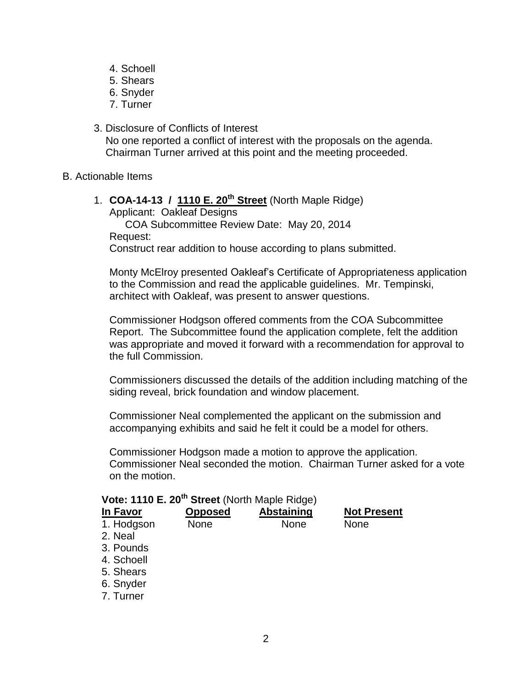- 4. Schoell
- 5. Shears
- 6. Snyder
- 7. Turner
- 3. Disclosure of Conflicts of Interest No one reported a conflict of interest with the proposals on the agenda. Chairman Turner arrived at this point and the meeting proceeded.
- B. Actionable Items
	- 1. **COA-14-13 / 1110 E. 20th Street** (North Maple Ridge) Applicant: Oakleaf Designs COA Subcommittee Review Date: May 20, 2014 Request:

Construct rear addition to house according to plans submitted.

Monty McElroy presented Oakleaf's Certificate of Appropriateness application to the Commission and read the applicable guidelines. Mr. Tempinski, architect with Oakleaf, was present to answer questions.

Commissioner Hodgson offered comments from the COA Subcommittee Report. The Subcommittee found the application complete, felt the addition was appropriate and moved it forward with a recommendation for approval to the full Commission.

Commissioners discussed the details of the addition including matching of the siding reveal, brick foundation and window placement.

Commissioner Neal complemented the applicant on the submission and accompanying exhibits and said he felt it could be a model for others.

Commissioner Hodgson made a motion to approve the application. Commissioner Neal seconded the motion. Chairman Turner asked for a vote on the motion.

| Vote: 1110 E. 20 <sup>th</sup> Street (North Maple Ridge) |                |                   |                    |  |
|-----------------------------------------------------------|----------------|-------------------|--------------------|--|
| In Favor                                                  | <b>Opposed</b> | <b>Abstaining</b> | <b>Not Present</b> |  |
| 1. Hodgson                                                | <b>None</b>    | <b>None</b>       | <b>None</b>        |  |
| 2. Neal                                                   |                |                   |                    |  |
| 3. Pounds                                                 |                |                   |                    |  |
| 4. Schoell                                                |                |                   |                    |  |
| 5. Shears                                                 |                |                   |                    |  |
| 6. Snyder                                                 |                |                   |                    |  |
| 7. Turner                                                 |                |                   |                    |  |
|                                                           |                |                   |                    |  |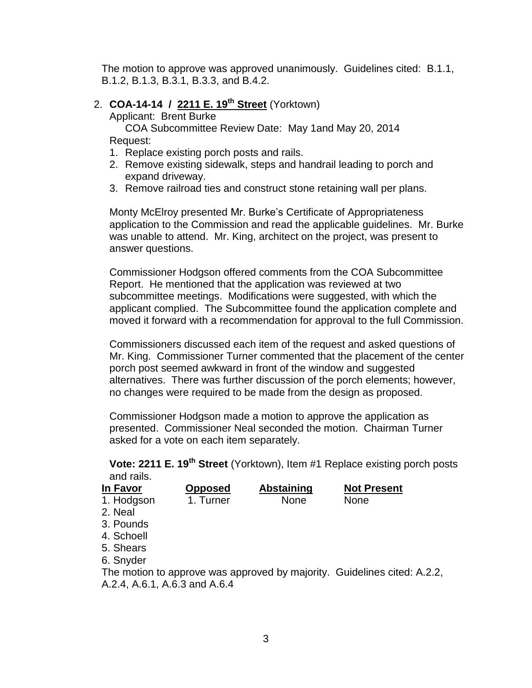The motion to approve was approved unanimously. Guidelines cited: B.1.1, B.1.2, B.1.3, B.3.1, B.3.3, and B.4.2.

# 2. **COA-14-14 / 2211 E. 19th Street** (Yorktown)

Applicant: Brent Burke

COA Subcommittee Review Date: May 1and May 20, 2014 Request:

- 1. Replace existing porch posts and rails.
- 2. Remove existing sidewalk, steps and handrail leading to porch and expand driveway.
- 3. Remove railroad ties and construct stone retaining wall per plans.

Monty McElroy presented Mr. Burke's Certificate of Appropriateness application to the Commission and read the applicable guidelines. Mr. Burke was unable to attend. Mr. King, architect on the project, was present to answer questions.

Commissioner Hodgson offered comments from the COA Subcommittee Report. He mentioned that the application was reviewed at two subcommittee meetings. Modifications were suggested, with which the applicant complied. The Subcommittee found the application complete and moved it forward with a recommendation for approval to the full Commission.

Commissioners discussed each item of the request and asked questions of Mr. King. Commissioner Turner commented that the placement of the center porch post seemed awkward in front of the window and suggested alternatives. There was further discussion of the porch elements; however, no changes were required to be made from the design as proposed.

Commissioner Hodgson made a motion to approve the application as presented. Commissioner Neal seconded the motion. Chairman Turner asked for a vote on each item separately.

**Vote: 2211 E. 19th Street** (Yorktown), Item #1 Replace existing porch posts and rails.

| In Favor                      | <b>Opposed</b> | <b>Abstaining</b> | <b>Not Present</b>                                                       |
|-------------------------------|----------------|-------------------|--------------------------------------------------------------------------|
| 1. Hodgson                    | 1. Turner      | <b>None</b>       | <b>None</b>                                                              |
| 2. Neal                       |                |                   |                                                                          |
| 3. Pounds                     |                |                   |                                                                          |
| 4. Schoell                    |                |                   |                                                                          |
| 5. Shears                     |                |                   |                                                                          |
| 6. Snyder                     |                |                   |                                                                          |
|                               |                |                   | The motion to approve was approved by majority. Guidelines cited: A.2.2, |
| A.2.4, A.6.1, A.6.3 and A.6.4 |                |                   |                                                                          |
|                               |                |                   |                                                                          |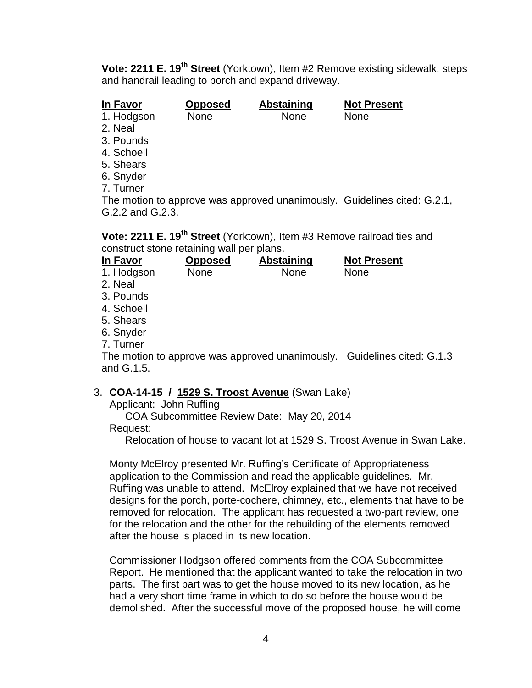**Vote: 2211 E. 19th Street** (Yorktown), Item #2 Remove existing sidewalk, steps and handrail leading to porch and expand driveway.

**In Favor Opposed Abstaining Not Present**

1. Hodgson None None None

- 2. Neal
- 3. Pounds
- 4. Schoell
- 5. Shears
- 6. Snyder
- 7. Turner

The motion to approve was approved unanimously. Guidelines cited: G.2.1, G.2.2 and G.2.3.

**Vote: 2211 E. 19th Street** (Yorktown), Item #3 Remove railroad ties and construct stone retaining wall per plans.

| In Favor   | <b>Opposed</b> | Abstaining  | <b>Not Present</b> |  |
|------------|----------------|-------------|--------------------|--|
| 1. Hodgson | <b>None</b>    | <b>None</b> | None               |  |
| 2. Neal    |                |             |                    |  |
| 3. Pounds  |                |             |                    |  |
| 4. Schoell |                |             |                    |  |
| 5. Shears  |                |             |                    |  |
| 6. Snyder  |                |             |                    |  |
| 7. Turner  |                |             |                    |  |
|            |                |             |                    |  |

The motion to approve was approved unanimously. Guidelines cited: G.1.3 and G.1.5.

# 3. **COA-14-15 / 1529 S. Troost Avenue** (Swan Lake)

Applicant: John Ruffing

COA Subcommittee Review Date: May 20, 2014 Request:

Relocation of house to vacant lot at 1529 S. Troost Avenue in Swan Lake.

Monty McElroy presented Mr. Ruffing's Certificate of Appropriateness application to the Commission and read the applicable guidelines. Mr. Ruffing was unable to attend. McElroy explained that we have not received designs for the porch, porte-cochere, chimney, etc., elements that have to be removed for relocation. The applicant has requested a two-part review, one for the relocation and the other for the rebuilding of the elements removed after the house is placed in its new location.

Commissioner Hodgson offered comments from the COA Subcommittee Report. He mentioned that the applicant wanted to take the relocation in two parts. The first part was to get the house moved to its new location, as he had a very short time frame in which to do so before the house would be demolished. After the successful move of the proposed house, he will come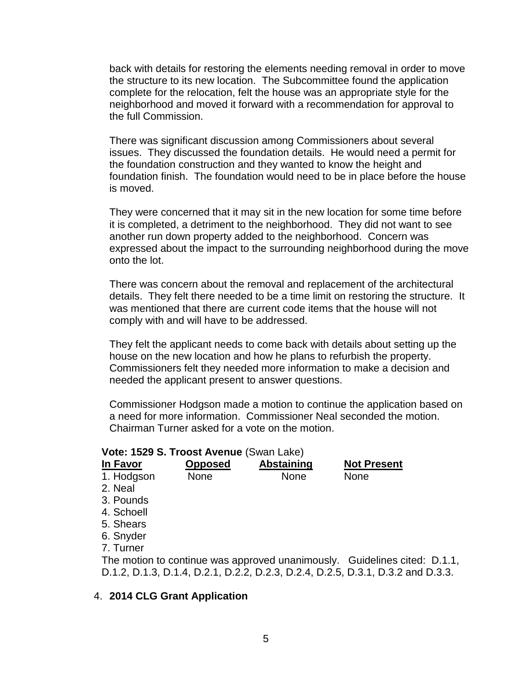back with details for restoring the elements needing removal in order to move the structure to its new location. The Subcommittee found the application complete for the relocation, felt the house was an appropriate style for the neighborhood and moved it forward with a recommendation for approval to the full Commission.

There was significant discussion among Commissioners about several issues. They discussed the foundation details. He would need a permit for the foundation construction and they wanted to know the height and foundation finish. The foundation would need to be in place before the house is moved.

They were concerned that it may sit in the new location for some time before it is completed, a detriment to the neighborhood. They did not want to see another run down property added to the neighborhood. Concern was expressed about the impact to the surrounding neighborhood during the move onto the lot.

There was concern about the removal and replacement of the architectural details. They felt there needed to be a time limit on restoring the structure. It was mentioned that there are current code items that the house will not comply with and will have to be addressed.

They felt the applicant needs to come back with details about setting up the house on the new location and how he plans to refurbish the property. Commissioners felt they needed more information to make a decision and needed the applicant present to answer questions.

Commissioner Hodgson made a motion to continue the application based on a need for more information. Commissioner Neal seconded the motion. Chairman Turner asked for a vote on the motion.

#### **Vote: 1529 S. Troost Avenue** (Swan Lake)

| In Favor   | <b>Opposed</b> | <b>Abstaining</b> | <b>Not Present</b>                                                              |
|------------|----------------|-------------------|---------------------------------------------------------------------------------|
| 1. Hodgson | <b>None</b>    | <b>None</b>       | <b>None</b>                                                                     |
| 2. Neal    |                |                   |                                                                                 |
| 3. Pounds  |                |                   |                                                                                 |
| 4. Schoell |                |                   |                                                                                 |
| 5. Shears  |                |                   |                                                                                 |
| 6. Snyder  |                |                   |                                                                                 |
| 7. Turner  |                |                   |                                                                                 |
|            |                |                   | The motion to continue was approved unanimously. Guidelines cited: D.1.1,       |
|            |                |                   | D.1.2, D.1.3, D.1.4, D.2.1, D.2.2, D.2.3, D.2.4, D.2.5, D.3.1, D.3.2 and D.3.3. |

#### 4. **2014 CLG Grant Application**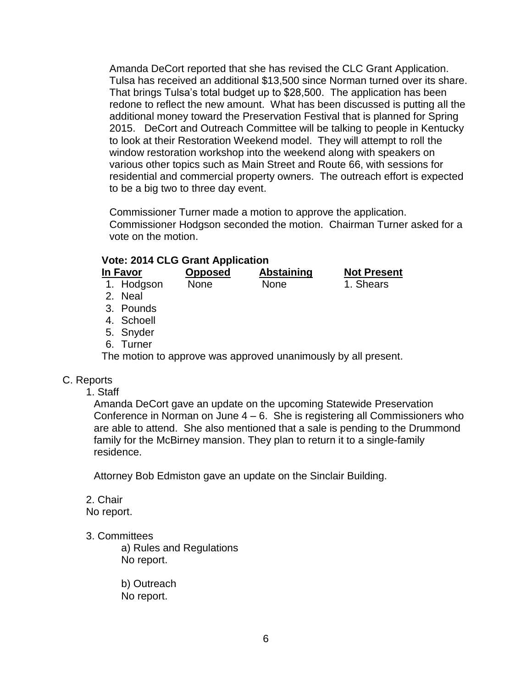Amanda DeCort reported that she has revised the CLC Grant Application. Tulsa has received an additional \$13,500 since Norman turned over its share. That brings Tulsa's total budget up to \$28,500. The application has been redone to reflect the new amount. What has been discussed is putting all the additional money toward the Preservation Festival that is planned for Spring 2015. DeCort and Outreach Committee will be talking to people in Kentucky to look at their Restoration Weekend model. They will attempt to roll the window restoration workshop into the weekend along with speakers on various other topics such as Main Street and Route 66, with sessions for residential and commercial property owners. The outreach effort is expected to be a big two to three day event.

Commissioner Turner made a motion to approve the application. Commissioner Hodgson seconded the motion. Chairman Turner asked for a vote on the motion.

#### **Vote: 2014 CLG Grant Application**

| In Favor   | <b>Opposed</b> | Abstaining  | <b>Not Present</b> |
|------------|----------------|-------------|--------------------|
| 1. Hodgson | <b>None</b>    | <b>None</b> | 1. Shears          |
| 2. Neal    |                |             |                    |
| 3. Pounds  |                |             |                    |
|            |                |             |                    |

- 4. Schoell
- 5. Snyder
- 6. Turner

The motion to approve was approved unanimously by all present.

### C. Reports

1. Staff

Amanda DeCort gave an update on the upcoming Statewide Preservation Conference in Norman on June  $4 - 6$ . She is registering all Commissioners who are able to attend. She also mentioned that a sale is pending to the Drummond family for the McBirney mansion. They plan to return it to a single-family residence.

Attorney Bob Edmiston gave an update on the Sinclair Building.

2. Chair No report.

#### 3. Committees

a) Rules and Regulations No report.

b) Outreach No report.